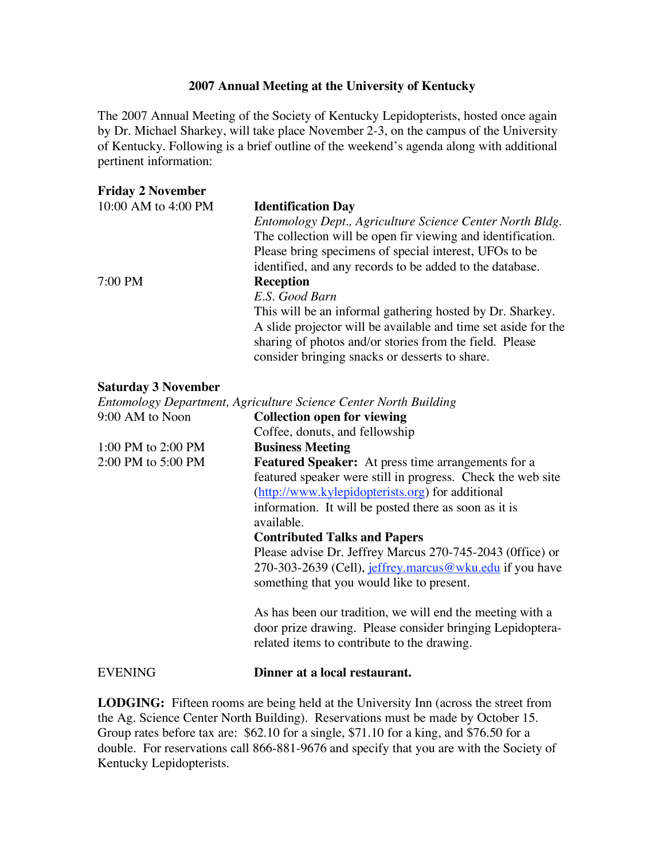## **2007 Annual Meeting at the University of Kentucky**

The 2007 Annual Meeting of the Society of Kentucky Lepidopterists, hosted once again by Dr. Michael Sharkey, will take place November 2-3, on the campus of the University of Kentucky. Following is a brief outline of the weekend's agenda along with additional pertinent information:

| <b>Friday 2 November</b>   |                                                                  |
|----------------------------|------------------------------------------------------------------|
| 10:00 AM to 4:00 PM        | <b>Identification Day</b>                                        |
|                            | Entomology Dept., Agriculture Science Center North Bldg.         |
|                            | The collection will be open fir viewing and identification.      |
|                            | Please bring specimens of special interest, UFOs to be           |
|                            | identified, and any records to be added to the database.         |
| 7:00 PM                    | <b>Reception</b>                                                 |
|                            | E.S. Good Barn                                                   |
|                            | This will be an informal gathering hosted by Dr. Sharkey.        |
|                            | A slide projector will be available and time set aside for the   |
|                            | sharing of photos and/or stories from the field. Please          |
|                            | consider bringing snacks or desserts to share.                   |
| <b>Saturday 3 November</b> |                                                                  |
|                            | Entomology Department, Agriculture Science Center North Building |
| $9.00 \Delta M$ to Noon    | Collection open for viewing                                      |

| 9:00 AM to Noon        | <b>Collection open for viewing</b>                                                                                                                                                                                                                                                                                                                                                                                                                              |
|------------------------|-----------------------------------------------------------------------------------------------------------------------------------------------------------------------------------------------------------------------------------------------------------------------------------------------------------------------------------------------------------------------------------------------------------------------------------------------------------------|
|                        | Coffee, donuts, and fellowship                                                                                                                                                                                                                                                                                                                                                                                                                                  |
| 1:00 PM to 2:00 PM     | <b>Business Meeting</b>                                                                                                                                                                                                                                                                                                                                                                                                                                         |
| $2:00$ PM to $5:00$ PM | <b>Featured Speaker:</b> At press time arrangements for a<br>featured speaker were still in progress. Check the web site<br>(http://www.kylepidopterists.org) for additional<br>information. It will be posted there as soon as it is<br>available.<br><b>Contributed Talks and Papers</b><br>Please advise Dr. Jeffrey Marcus 270-745-2043 (Office) or<br>270-303-2639 (Cell), jeffrey.marcus@wku.edu if you have<br>something that you would like to present. |
|                        | As has been our tradition, we will end the meeting with a<br>door prize drawing. Please consider bringing Lepidoptera-<br>related items to contribute to the drawing.                                                                                                                                                                                                                                                                                           |
| <b>EVENING</b>         | Dinner at a local restaurant.                                                                                                                                                                                                                                                                                                                                                                                                                                   |

**LODGING:** Fifteen rooms are being held at the University Inn (across the street from the Ag. Science Center North Building). Reservations must be made by October 15. Group rates before tax are: \$62.10 for a single, \$71.10 for a king, and \$76.50 for a double. For reservations call 866-881-9676 and specify that you are with the Society of Kentucky Lepidopterists.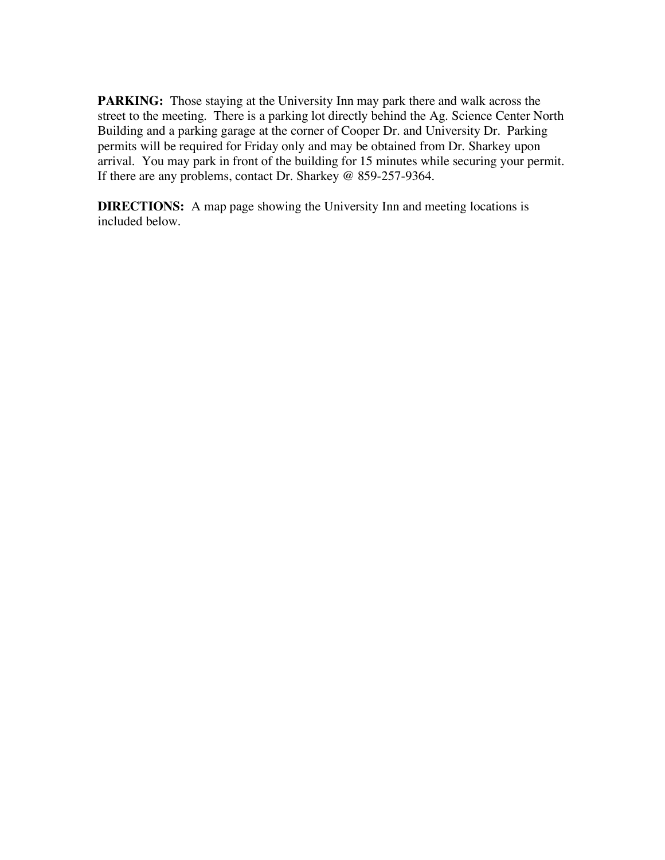**PARKING:** Those staying at the University Inn may park there and walk across the street to the meeting. There is a parking lot directly behind the Ag. Science Center North Building and a parking garage at the corner of Cooper Dr. and University Dr. Parking permits will be required for Friday only and may be obtained from Dr. Sharkey upon arrival. You may park in front of the building for 15 minutes while securing your permit. If there are any problems, contact Dr. Sharkey @ 859-257-9364.

**DIRECTIONS:** A map page showing the University Inn and meeting locations is included below.